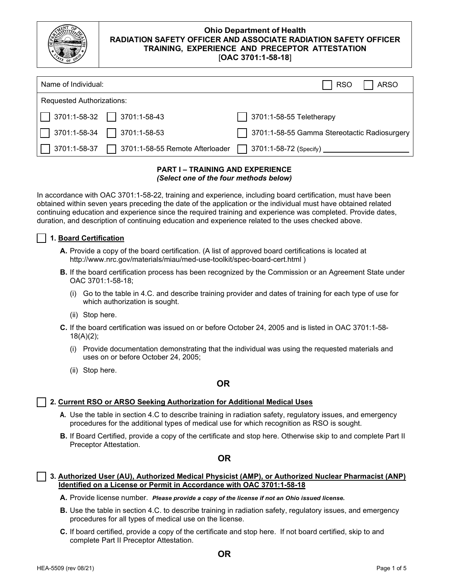

| Name of Individual:                                    | <b>ARSO</b><br><b>RSO</b>                    |
|--------------------------------------------------------|----------------------------------------------|
| Requested Authorizations:                              |                                              |
| $\Box$ 3701:1-58-32 $\Box$ 3701:1-58-43                | $\Box$ 3701:1-58-55 Teletherapy              |
| $\Box$ 3701:1-58-34 $\Box$ 3701:1-58-53                | 3701:1-58-55 Gamma Stereotactic Radiosurgery |
| $\Box$ 3701:1-58-37<br>3701:1-58-55 Remote Afterloader | $\Box$ 3701:1-58-72 (Specify) _______        |

### **PART I – TRAINING AND EXPERIENCE**  *(Select one of the four methods below)*

In accordance with OAC 3701:1-58-22, training and experience, including board certification, must have been obtained within seven years preceding the date of the application or the individual must have obtained related continuing education and experience since the required training and experience was completed. Provide dates, duration, and description of continuing education and experience related to the uses checked above.

# ☐ **1. Board Certification**

- **A.** Provide a copy of the board certification. (A list of approved board certifications is located at [http://www.nrc.gov/materials/miau/med-use-toolkit/spec-board-cert.html \)](http://www.nrc.gov/materials/miau/med-use-toolkit/spec-board-cert.html))
- **B.** If the board certification process has been recognized by the Commission or an Agreement State under OAC 3701:1-58-18;
	- (i) Go to the table in 4.C. and describe training provider and dates of training for each type of use for which authorization is sought.
	- (ii) Stop here.
- **C.** If the board certification was issued on or before October 24, 2005 and is listed in OAC 3701:1-58- 18(A)(2);
	- (i) Provide documentation demonstrating that the individual was using the requested materials and uses on or before October 24, 2005;
	- (ii) Stop here.

# **OR**

# ☐ **2. Current RSO or ARSO Seeking Authorization for Additional Medical Uses**

- **A.** Use the table in section 4.C to describe training in radiation safety, regulatory issues, and emergency procedures for the additional types of medical use for which recognition as RSO is sought.
- **B.** If Board Certified, provide a copy of the certificate and stop here. Otherwise skip to and complete Part II Preceptor Attestation.

# **OR**

☐ **3. Authorized User (AU), Authorized Medical Physicist (AMP), or Authorized Nuclear Pharmacist (ANP) Identified on a License or Permit in Accordance with OAC 3701:1-58-18**

**A.** Provide license number. *Please provide a copy of the license if not an Ohio issued license.*

- **B.** Use the table in section 4.C. to describe training in radiation safety, regulatory issues, and emergency procedures for all types of medical use on the license.
- **C.** If board certified, provide a copy of the certificate and stop here. If not board certified, skip to and complete Part II Preceptor Attestation.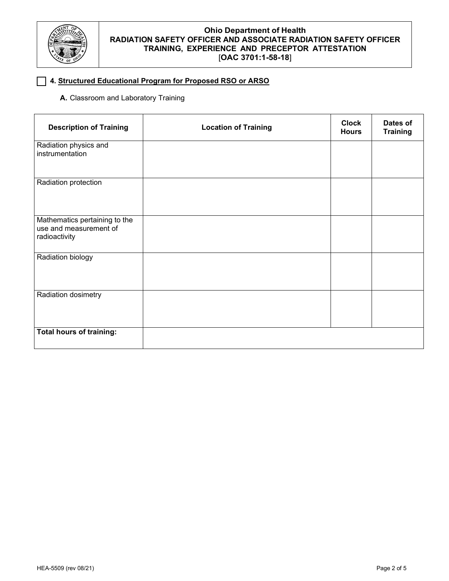

# ☐ **4. Structured Educational Program for Proposed RSO or ARSO**

# **A.** Classroom and Laboratory Training

| <b>Description of Training</b>                                           | <b>Location of Training</b> | <b>Clock</b><br><b>Hours</b> | Dates of<br><b>Training</b> |
|--------------------------------------------------------------------------|-----------------------------|------------------------------|-----------------------------|
| Radiation physics and<br>instrumentation                                 |                             |                              |                             |
| Radiation protection                                                     |                             |                              |                             |
| Mathematics pertaining to the<br>use and measurement of<br>radioactivity |                             |                              |                             |
| Radiation biology                                                        |                             |                              |                             |
| Radiation dosimetry                                                      |                             |                              |                             |
| <b>Total hours of training:</b>                                          |                             |                              |                             |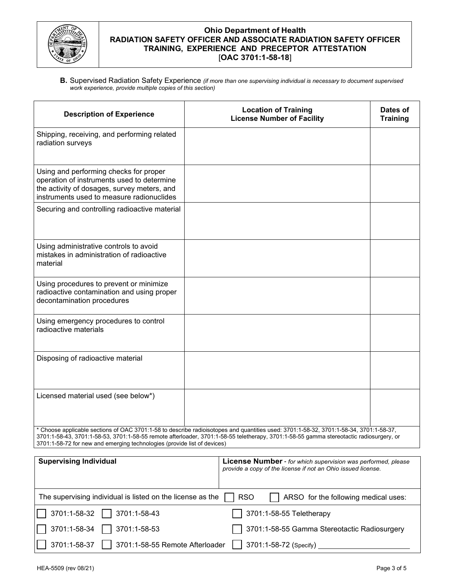

**B.** Supervised Radiation Safety Experience *(if more than one supervising individual is necessary to document supervised work experience, provide multiple copies of this section)*

| <b>Description of Experience</b>                                                                                                                                                                                                                                                                                                                              | <b>Location of Training</b><br><b>License Number of Facility</b> | Dates of<br><b>Training</b> |
|---------------------------------------------------------------------------------------------------------------------------------------------------------------------------------------------------------------------------------------------------------------------------------------------------------------------------------------------------------------|------------------------------------------------------------------|-----------------------------|
| Shipping, receiving, and performing related<br>radiation surveys                                                                                                                                                                                                                                                                                              |                                                                  |                             |
| Using and performing checks for proper<br>operation of instruments used to determine<br>the activity of dosages, survey meters, and<br>instruments used to measure radionuclides                                                                                                                                                                              |                                                                  |                             |
| Securing and controlling radioactive material                                                                                                                                                                                                                                                                                                                 |                                                                  |                             |
| Using administrative controls to avoid<br>mistakes in administration of radioactive<br>material                                                                                                                                                                                                                                                               |                                                                  |                             |
| Using procedures to prevent or minimize<br>radioactive contamination and using proper<br>decontamination procedures                                                                                                                                                                                                                                           |                                                                  |                             |
| Using emergency procedures to control<br>radioactive materials                                                                                                                                                                                                                                                                                                |                                                                  |                             |
| Disposing of radioactive material                                                                                                                                                                                                                                                                                                                             |                                                                  |                             |
| Licensed material used (see below*)                                                                                                                                                                                                                                                                                                                           |                                                                  |                             |
| * Choose applicable sections of OAC 3701:1-58 to describe radioisotopes and quantities used: 3701:1-58-32, 3701:1-58-34, 3701:1-58-37,<br>3701:1-58-43, 3701:1-58-53, 3701:1-58-55 remote afterloader, 3701:1-58-55 teletherapy, 3701:1-58-55 gamma stereotactic radiosurgery, or<br>3701:1-58-72 for new and emerging technologies (provide list of devices) |                                                                  |                             |

| <b>Supervising Individual</b>                                              | <b>License Number</b> - for which supervision was performed, please<br>provide a copy of the license if not an Ohio issued license. |  |
|----------------------------------------------------------------------------|-------------------------------------------------------------------------------------------------------------------------------------|--|
| The supervising individual is listed on the license as the                 | ARSO for the following medical uses:<br><b>RSO</b>                                                                                  |  |
| $\Box$ 3701:1-58-32 $\Box$ 3701:1-58-43                                    | 3701:1-58-55 Teletherapy                                                                                                            |  |
| $\sqrt{ }$ 3701:1-58-34 $\sqrt{ }$ 3701:1-58-53                            | 3701:1-58-55 Gamma Stereotactic Radiosurgery<br>$\sim$                                                                              |  |
| $\boxed{\phantom{1}}$ 3701:1-58-55 Remote Afterloader<br>     3701:1-58-37 | $\vert$ 3701:1-58-72 (Specify)                                                                                                      |  |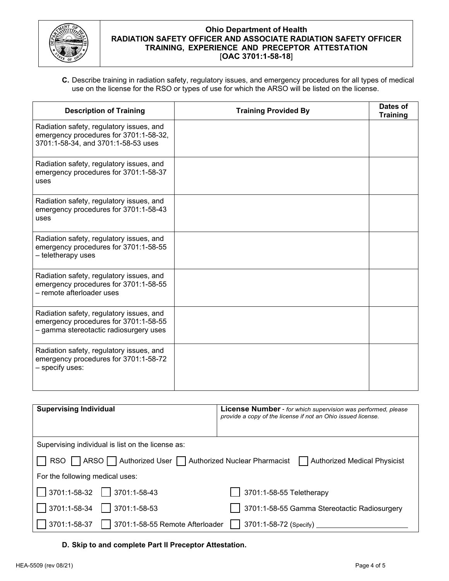

**C.** Describe training in radiation safety, regulatory issues, and emergency procedures for all types of medical use on the license for the RSO or types of use for which the ARSO will be listed on the license.

| <b>Description of Training</b>                                                                                              | <b>Training Provided By</b> | Dates of<br><b>Training</b> |
|-----------------------------------------------------------------------------------------------------------------------------|-----------------------------|-----------------------------|
| Radiation safety, regulatory issues, and<br>emergency procedures for 3701:1-58-32,<br>3701:1-58-34, and 3701:1-58-53 uses   |                             |                             |
| Radiation safety, regulatory issues, and<br>emergency procedures for 3701:1-58-37<br>uses                                   |                             |                             |
| Radiation safety, regulatory issues, and<br>emergency procedures for 3701:1-58-43<br>uses                                   |                             |                             |
| Radiation safety, regulatory issues, and<br>emergency procedures for 3701:1-58-55<br>- teletherapy uses                     |                             |                             |
| Radiation safety, regulatory issues, and<br>emergency procedures for 3701:1-58-55<br>- remote afterloader uses              |                             |                             |
| Radiation safety, regulatory issues, and<br>emergency procedures for 3701:1-58-55<br>- gamma stereotactic radiosurgery uses |                             |                             |
| Radiation safety, regulatory issues, and<br>emergency procedures for 3701:1-58-72<br>– specify uses:                        |                             |                             |

| <b>Supervising Individual</b>                                                                                       | <b>License Number</b> - for which supervision was performed, please<br>provide a copy of the license if not an Ohio issued license. |  |
|---------------------------------------------------------------------------------------------------------------------|-------------------------------------------------------------------------------------------------------------------------------------|--|
| Supervising individual is list on the license as:                                                                   |                                                                                                                                     |  |
| RSO   ARSO   Authorized User   Authorized Nuclear Pharmacist<br><b>Authorized Medical Physicist</b><br>$\mathbf{L}$ |                                                                                                                                     |  |
| For the following medical uses:                                                                                     |                                                                                                                                     |  |
| $\vert$   3701:1-58-32     3701:1-58-43                                                                             | 3701:1-58-55 Teletherapy                                                                                                            |  |
| 3701:1-58-34<br>$\vert$ 3701:1-58-53                                                                                | 3701:1-58-55 Gamma Stereotactic Radiosurgery                                                                                        |  |
| 3701:1-58-37<br>3701:1-58-55 Remote Afterloader                                                                     | 3701:1-58-72 (Specify)                                                                                                              |  |

## **D. Skip to and complete Part II Preceptor Attestation.**